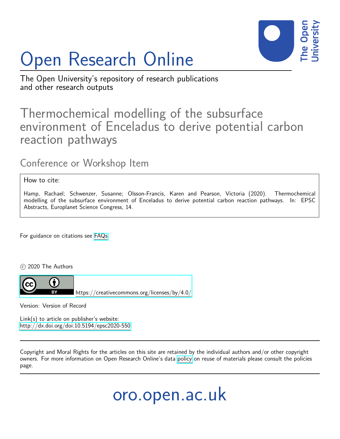

# Open Research Online

The Open University's repository of research publications and other research outputs

# Thermochemical modelling of the subsurface environment of Enceladus to derive potential carbon reaction pathways

# Conference or Workshop Item

## How to cite:

Hamp, Rachael; Schwenzer, Susanne; Olsson-Francis, Karen and Pearson, Victoria (2020). Thermochemical modelling of the subsurface environment of Enceladus to derive potential carbon reaction pathways. In: EPSC Abstracts, Europlanet Science Congress, 14.

For guidance on citations see [FAQs.](http://oro.open.ac.uk/help/helpfaq.html)

c 2020 The Authors



Version: Version of Record

Link(s) to article on publisher's website: <http://dx.doi.org/doi:10.5194/epsc2020-550>

Copyright and Moral Rights for the articles on this site are retained by the individual authors and/or other copyright owners. For more information on Open Research Online's data [policy](http://oro.open.ac.uk/policies.html) on reuse of materials please consult the policies page.

oro.open.ac.uk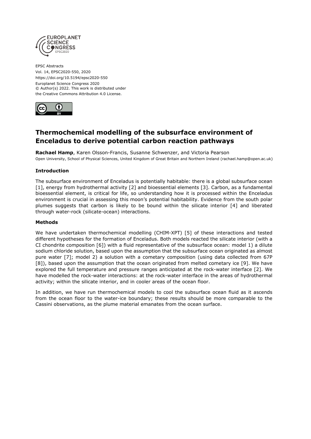

EPSC Abstracts Vol. 14, EPSC2020-550, 2020 https://doi.org/10.5194/epsc2020-550 Europlanet Science Congress 2020 © Author(s) 2022. This work is distributed under the Creative Commons Attribution 4.0 License.



# **Thermochemical modelling of the subsurface environment of Enceladus to derive potential carbon reaction pathways**

**Rachael Hamp**, Karen Olsson-Francis, Susanne Schwenzer, and Victoria Pearson Open University, School of Physical Sciences, United Kingdom of Great Britain and Northern Ireland (rachael.hamp@open.ac.uk)

## **Introduction**

The subsurface environment of Enceladus is potentially habitable: there is a global subsurface ocean [1], energy from hydrothermal activity [2] and bioessential elements [3]. Carbon, as a fundamental bioessential element, is critical for life, so understanding how it is processed within the Enceladus environment is crucial in assessing this moon's potential habitability. Evidence from the south polar plumes suggests that carbon is likely to be bound within the silicate interior [4] and liberated through water-rock (silicate-ocean) interactions.

#### **Methods**

We have undertaken thermochemical modelling (CHIM-XPT) [5] of these interactions and tested different hypotheses for the formation of Enceladus. Both models reacted the silicate interior (with a CI chondrite composition [6]) with a fluid representative of the subsurface ocean: model 1) a dilute sodium chloride solution, based upon the assumption that the subsurface ocean originated as almost pure water [7]; model 2) a solution with a cometary composition (using data collected from 67P [8]), based upon the assumption that the ocean originated from melted cometary ice [9]. We have explored the full temperature and pressure ranges anticipated at the rock-water interface [2]. We have modelled the rock-water interactions: at the rock-water interface in the areas of hydrothermal activity; within the silicate interior, and in cooler areas of the ocean floor.

In addition, we have run thermochemical models to cool the subsurface ocean fluid as it ascends from the ocean floor to the water-ice boundary; these results should be more comparable to the Cassini observations, as the plume material emanates from the ocean surface.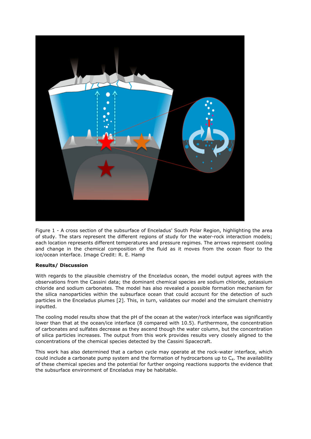

Figure 1 - A cross section of the subsurface of Enceladus' South Polar Region, highlighting the area of study. The stars represent the different regions of study for the water-rock interaction models; each location represents different temperatures and pressure regimes. The arrows represent cooling and change in the chemical composition of the fluid as it moves from the ocean floor to the ice/ocean interface. Image Credit: R. E. Hamp

## **Results/ Discussion**

With regards to the plausible chemistry of the Enceladus ocean, the model output agrees with the observations from the Cassini data; the dominant chemical species are sodium chloride, potassium chloride and sodium carbonates. The model has also revealed a possible formation mechanism for the silica nanoparticles within the subsurface ocean that could account for the detection of such particles in the Enceladus plumes [2]. This, in turn, validates our model and the simulant chemistry inputted.

The cooling model results show that the pH of the ocean at the water/rock interface was significantly lower than that at the ocean/ice interface (8 compared with 10.5). Furthermore, the concentration of carbonates and sulfates decrease as they ascend though the water column, but the concentration of silica particles increases. The output from this work provides results very closely aligned to the concentrations of the chemical species detected by the Cassini Spacecraft.

This work has also determined that a carbon cycle may operate at the rock-water interface, which could include a carbonate pump system and the formation of hydrocarbons up to  $C_4$ . The availability of these chemical species and the potential for further ongoing reactions supports the evidence that the subsurface environment of Enceladus may be habitable.